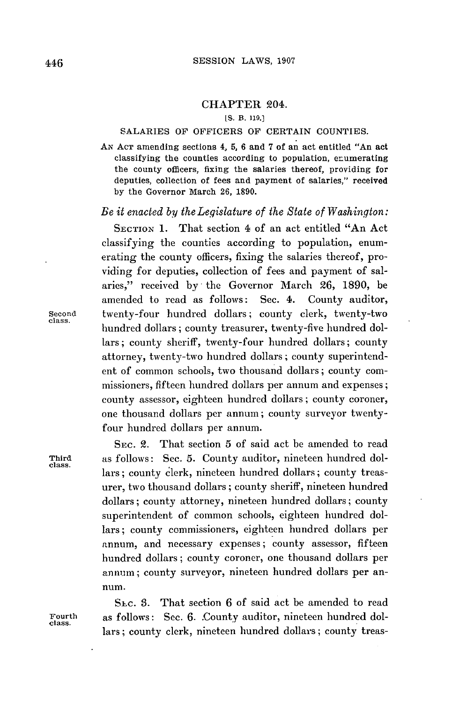## CHAPTER 204.

**[S.** B. **119.]**

## **SALARIES** OF OFFICERS OF CERTAIN **COUNTIES.**

**AN ACT** amending sections 4, **5, 6** and **7** of an act entitled "An act classifying the counties according to population, enumerating the county officers, fixing the salaries thereof, providing for deputies, collection of fees and payment of salaries," received **by** the Governor March **26, 1890.**

## *Be it enacted by the Legislature of the State of Washington:*

**SECTION 1.** That section 4 of an act entitled "An Act classifying the counties according to population, enumerating the county officers, fixing the salaries thereof, providing for deputies, collection of fees and payment of salaries," received **by** the Governor March **26, 1890,** be amended to read as follows: Sec. 4. County auditor, Second twenty-four hundred dollars; county clerk, twenty-two class. hundred dollars; county treasurer, twenty-five hundred dollars; county sheriff, twenty-four hundred dollars; county attorney, twenty-two hundred dollars; county superintendent of common schools, two thousand dollars; county commissioners, fifteen hundred dollars per annum and expenses; county assessor, eighteen hundred dollars; county coroner, one thousand dollars per annum; county surveyor twentyfour hundred dollars per annum.

SEc. 2. That section **5** of said act be amended to read Third as follows: Sec. **5.** County auditor, nineteen hundred dollars; county clerk, nineteen hundred dollars; county treasurer, two thousand dollars; county sheriff, nineteen hundred dollars; county attorney, nineteen hundred dollars; county superintendent of common schools, eighteen hundred dollars; county commissioners, eighteen hundred dollars per annum, and necessary expenses; county assessor, fifteen hundred dollars; county coroner, one thousand dollars per annum; county surveyor, nineteen hundred dollars per annum.

Sic. **S.** That section **6** of said act be amended to read Fourth as follows: **Sec. 6.** .County auditor, nineteen hundred dollars; county clerk, nineteen hundred dollars; county treas-

class.